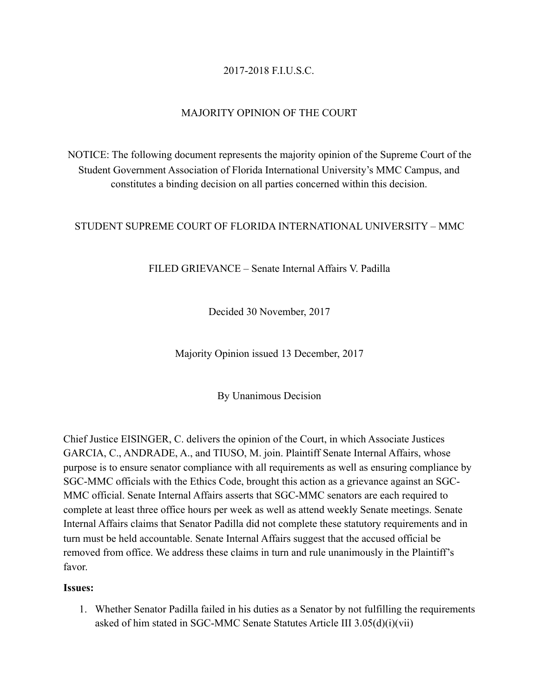# 2017-2018 F.I.U.S.C.

## MAJORITY OPINION OF THE COURT

NOTICE: The following document represents the majority opinion of the Supreme Court of the Student Government Association of Florida International University's MMC Campus, and constitutes a binding decision on all parties concerned within this decision.

## STUDENT SUPREME COURT OF FLORIDA INTERNATIONAL UNIVERSITY – MMC

FILED GRIEVANCE – Senate Internal Affairs V. Padilla

Decided 30 November, 2017

Majority Opinion issued 13 December, 2017

By Unanimous Decision

Chief Justice EISINGER, C. delivers the opinion of the Court, in which Associate Justices GARCIA, C., ANDRADE, A., and TIUSO, M. join. Plaintiff Senate Internal Affairs, whose purpose is to ensure senator compliance with all requirements as well as ensuring compliance by SGC-MMC officials with the Ethics Code, brought this action as a grievance against an SGC-MMC official. Senate Internal Affairs asserts that SGC-MMC senators are each required to complete at least three office hours per week as well as attend weekly Senate meetings. Senate Internal Affairs claims that Senator Padilla did not complete these statutory requirements and in turn must be held accountable. Senate Internal Affairs suggest that the accused official be removed from office. We address these claims in turn and rule unanimously in the Plaintiff's favor.

#### **Issues:**

1. Whether Senator Padilla failed in his duties as a Senator by not fulfilling the requirements asked of him stated in SGC-MMC Senate Statutes Article III 3.05(d)(i)(vii)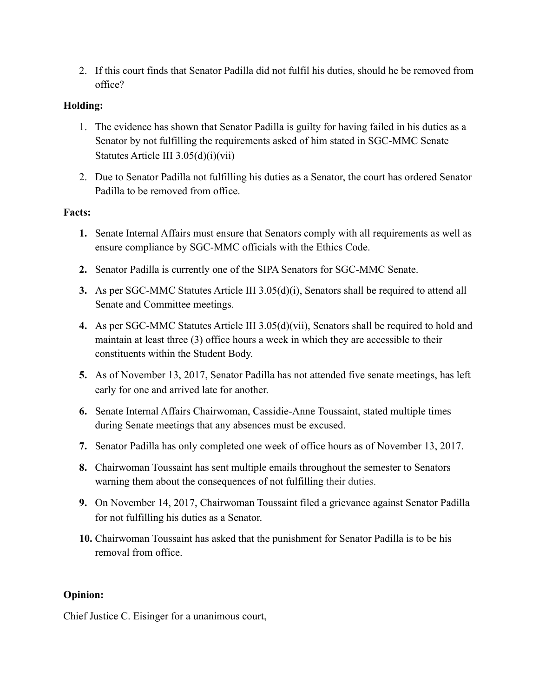2. If this court finds that Senator Padilla did not fulfil his duties, should he be removed from office?

# **Holding:**

- 1. The evidence has shown that Senator Padilla is guilty for having failed in his duties as a Senator by not fulfilling the requirements asked of him stated in SGC-MMC Senate Statutes Article III 3.05(d)(i)(vii)
- 2. Due to Senator Padilla not fulfilling his duties as a Senator, the court has ordered Senator Padilla to be removed from office.

## **Facts:**

- **1.** Senate Internal Affairs must ensure that Senators comply with all requirements as well as ensure compliance by SGC-MMC officials with the Ethics Code.
- **2.** Senator Padilla is currently one of the SIPA Senators for SGC-MMC Senate.
- **3.** As per SGC-MMC Statutes Article III 3.05(d)(i), Senators shall be required to attend all Senate and Committee meetings.
- **4.** As per SGC-MMC Statutes Article III 3.05(d)(vii), Senators shall be required to hold and maintain at least three (3) office hours a week in which they are accessible to their constituents within the Student Body.
- **5.** As of November 13, 2017, Senator Padilla has not attended five senate meetings, has left early for one and arrived late for another.
- **6.** Senate Internal Affairs Chairwoman, Cassidie-Anne Toussaint, stated multiple times during Senate meetings that any absences must be excused.
- **7.** Senator Padilla has only completed one week of office hours as of November 13, 2017.
- **8.** Chairwoman Toussaint has sent multiple emails throughout the semester to Senators warning them about the consequences of not fulfilling their duties.
- **9.** On November 14, 2017, Chairwoman Toussaint filed a grievance against Senator Padilla for not fulfilling his duties as a Senator.
- **10.** Chairwoman Toussaint has asked that the punishment for Senator Padilla is to be his removal from office.

## **Opinion:**

Chief Justice C. Eisinger for a unanimous court,